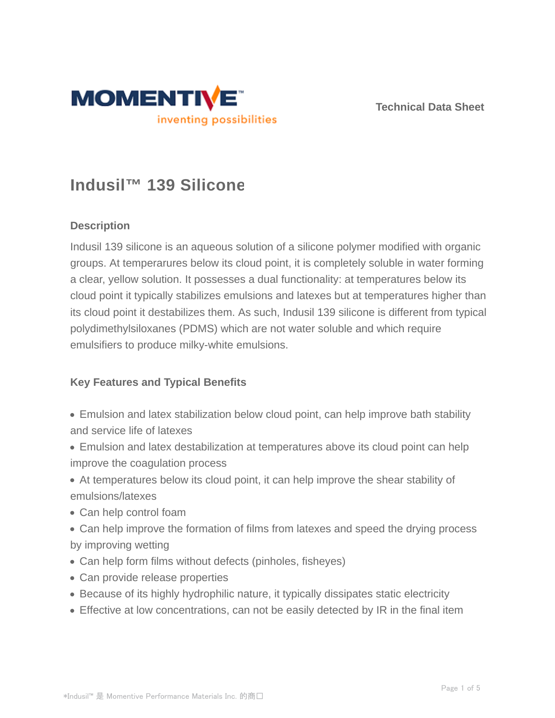



# **Indusil™ 139 Silicone**

### **Description**

Indusil 139 silicone is an aqueous solution of a silicone polymer modified with organic groups. At temperarures below its cloud point, it is completely soluble in water forming a clear, yellow solution. It possesses a dual functionality: at temperatures below its cloud point it typically stabilizes emulsions and latexes but at temperatures higher than its cloud point it destabilizes them. As such, Indusil 139 silicone is different from typical polydimethylsiloxanes (PDMS) which are not water soluble and which require emulsifiers to produce milky-white emulsions.

#### **Key Features and Typical Benefits**

- Emulsion and latex stabilization below cloud point, can help improve bath stability and service life of latexes
- Emulsion and latex destabilization at temperatures above its cloud point can help improve the coagulation process
- At temperatures below its cloud point, it can help improve the shear stability of emulsions/latexes
- Can help control foam
- Can help improve the formation of films from latexes and speed the drying process by improving wetting
- Can help form films without defects (pinholes, fisheyes)
- Can provide release properties
- Because of its highly hydrophilic nature, it typically dissipates static electricity
- Effective at low concentrations, can not be easily detected by IR in the final item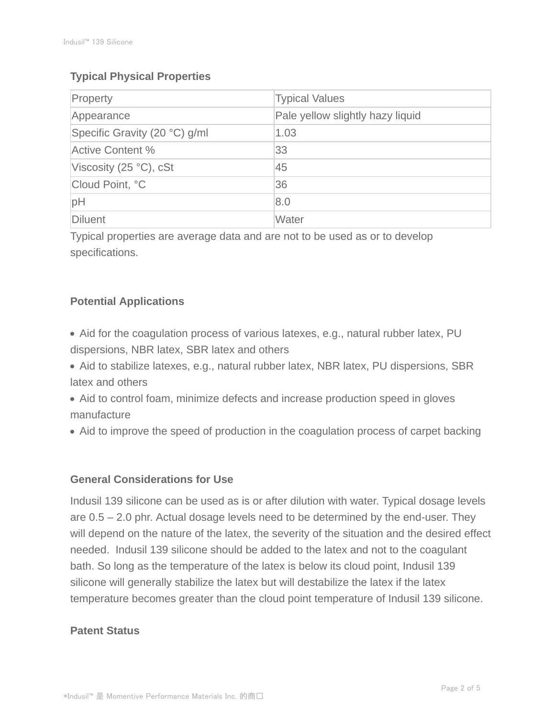## **Typical Physical Properties**

| Property                        | <b>Typical Values</b>            |
|---------------------------------|----------------------------------|
| Appearance                      | Pale yellow slightly hazy liquid |
| Specific Gravity (20 °C) g/ml   | 1.03                             |
| <b>Active Content %</b>         | 33                               |
| Viscosity (25 $\degree$ C), cSt | 45                               |
| Cloud Point, °C                 | 36                               |
| pH                              | 8.0                              |
| Diluent                         | Water                            |

Typical properties are average data and are not to be used as or to develop specifications.

## **Potential Applications**

- Aid for the coagulation process of various latexes, e.g., natural rubber latex, PU dispersions, NBR latex, SBR latex and others
- Aid to stabilize latexes, e.g., natural rubber latex, NBR latex, PU dispersions, SBR latex and others
- Aid to control foam, minimize defects and increase production speed in gloves manufacture
- Aid to improve the speed of production in the coagulation process of carpet backing

## **General Considerations for Use**

Indusil 139 silicone can be used as is or after dilution with water. Typical dosage levels are 0.5 – 2.0 phr. Actual dosage levels need to be determined by the end-user. They will depend on the nature of the latex, the severity of the situation and the desired effect needed. Indusil 139 silicone should be added to the latex and not to the coagulant bath. So long as the temperature of the latex is below its cloud point, Indusil 139 silicone will generally stabilize the latex but will destabilize the latex if the latex temperature becomes greater than the cloud point temperature of Indusil 139 silicone.

## **Patent Status**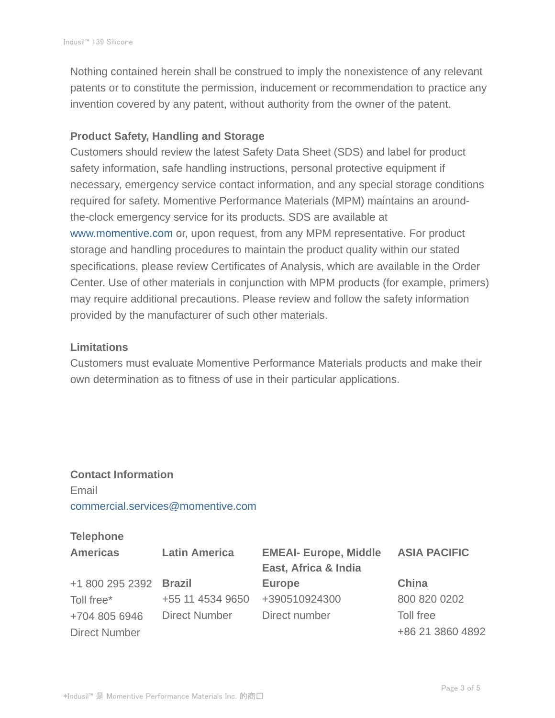Nothing contained herein shall be construed to imply the nonexistence of any relevant patents or to constitute the permission, inducement or recommendation to practice any invention covered by any patent, without authority from the owner of the patent.

#### **Product Safety, Handling and Storage**

Customers should review the latest Safety Data Sheet (SDS) and label for product safety information, safe handling instructions, personal protective equipment if necessary, emergency service contact information, and any special storage conditions required for safety. Momentive Performance Materials (MPM) maintains an aroundthe-clock emergency service for its products. SDS are available at www.momentive.com or, upon request, from any MPM representative. For product storage and handling procedures to maintain the product quality within our stated specifications, please review Certificates of Analysis, which are available in the Order Center. Use of other materials in conjunction with MPM products (for example, primers) may require additional precautions. Please review and follow the safety information provided by the manufacturer of such other materials.

#### **Limitations**

Customers must evaluate Momentive Performance Materials products and make their own determination as to fitness of use in their particular applications.

## **Contact Information** Email commercial.services@momentive.com

#### **Telephone**

| <b>Americas</b>      | <b>Latin America</b> | <b>EMEAI- Europe, Middle</b><br>East, Africa & India | <b>ASIA PACIFIC</b> |
|----------------------|----------------------|------------------------------------------------------|---------------------|
| +1 800 295 2392      | <b>Brazil</b>        | <b>Europe</b>                                        | China               |
| Toll free*           | +55 11 4534 9650     | +390510924300                                        | 800 820 0202        |
| +704 805 6946        | Direct Number        | Direct number                                        | Toll free           |
| <b>Direct Number</b> |                      |                                                      | +86 21 3860 4892    |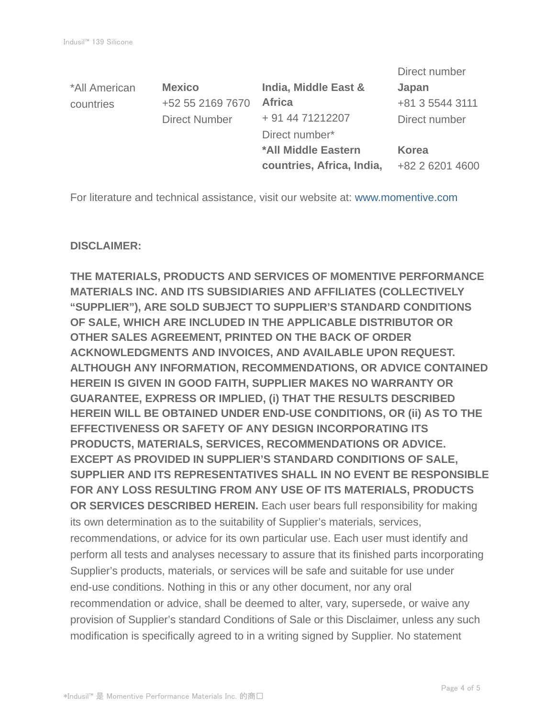|                      |                           | Direct number   |
|----------------------|---------------------------|-----------------|
| <b>Mexico</b>        | India, Middle East &      | Japan           |
| +52 55 2169 7670     | <b>Africa</b>             | +81 3 5544 3111 |
| <b>Direct Number</b> | + 91 44 71212207          | Direct number   |
|                      | Direct number*            |                 |
|                      | *All Middle Eastern       | Korea           |
|                      | countries, Africa, India, | +82 2 6201 4600 |
|                      |                           |                 |

For literature and technical assistance, visit our website at: www.momentive.com

#### **DISCLAIMER:**

**THE MATERIALS, PRODUCTS AND SERVICES OF MOMENTIVE PERFORMANCE MATERIALS INC. AND ITS SUBSIDIARIES AND AFFILIATES (COLLECTIVELY "SUPPLIER"), ARE SOLD SUBJECT TO SUPPLIER'S STANDARD CONDITIONS OF SALE, WHICH ARE INCLUDED IN THE APPLICABLE DISTRIBUTOR OR OTHER SALES AGREEMENT, PRINTED ON THE BACK OF ORDER ACKNOWLEDGMENTS AND INVOICES, AND AVAILABLE UPON REQUEST. ALTHOUGH ANY INFORMATION, RECOMMENDATIONS, OR ADVICE CONTAINED HEREIN IS GIVEN IN GOOD FAITH, SUPPLIER MAKES NO WARRANTY OR GUARANTEE, EXPRESS OR IMPLIED, (i) THAT THE RESULTS DESCRIBED HEREIN WILL BE OBTAINED UNDER END-USE CONDITIONS, OR (ii) AS TO THE EFFECTIVENESS OR SAFETY OF ANY DESIGN INCORPORATING ITS PRODUCTS, MATERIALS, SERVICES, RECOMMENDATIONS OR ADVICE. EXCEPT AS PROVIDED IN SUPPLIER'S STANDARD CONDITIONS OF SALE, SUPPLIER AND ITS REPRESENTATIVES SHALL IN NO EVENT BE RESPONSIBLE FOR ANY LOSS RESULTING FROM ANY USE OF ITS MATERIALS, PRODUCTS OR SERVICES DESCRIBED HEREIN.** Each user bears full responsibility for making its own determination as to the suitability of Supplier's materials, services, recommendations, or advice for its own particular use. Each user must identify and perform all tests and analyses necessary to assure that its finished parts incorporating Supplier's products, materials, or services will be safe and suitable for use under end-use conditions. Nothing in this or any other document, nor any oral recommendation or advice, shall be deemed to alter, vary, supersede, or waive any provision of Supplier's standard Conditions of Sale or this Disclaimer, unless any such modification is specifically agreed to in a writing signed by Supplier. No statement